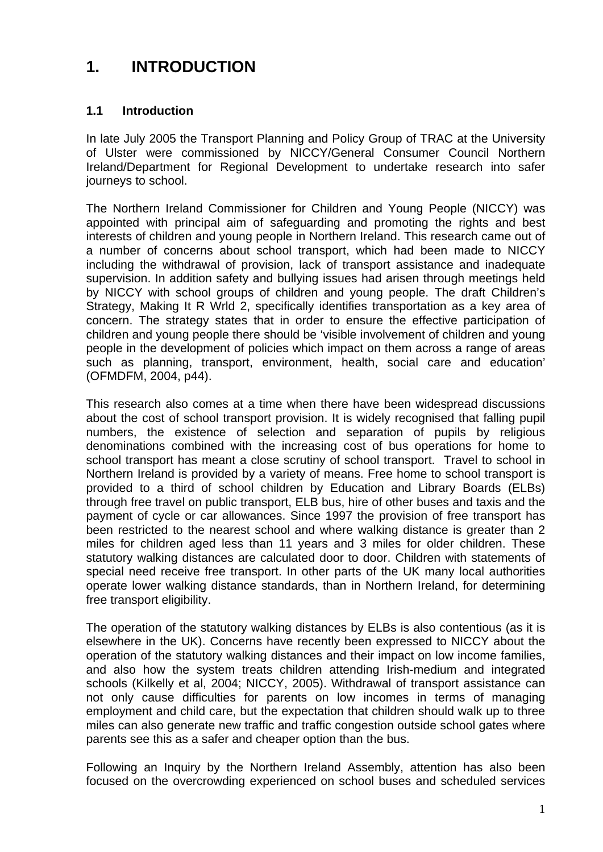# **1. INTRODUCTION**

# **1.1 Introduction**

In late July 2005 the Transport Planning and Policy Group of TRAC at the University of Ulster were commissioned by NICCY/General Consumer Council Northern Ireland/Department for Regional Development to undertake research into safer journeys to school.

The Northern Ireland Commissioner for Children and Young People (NICCY) was appointed with principal aim of safeguarding and promoting the rights and best interests of children and young people in Northern Ireland. This research came out of a number of concerns about school transport, which had been made to NICCY including the withdrawal of provision, lack of transport assistance and inadequate supervision. In addition safety and bullying issues had arisen through meetings held by NICCY with school groups of children and young people. The draft Children's Strategy, Making It R Wrld 2, specifically identifies transportation as a key area of concern. The strategy states that in order to ensure the effective participation of children and young people there should be 'visible involvement of children and young people in the development of policies which impact on them across a range of areas such as planning, transport, environment, health, social care and education' (OFMDFM, 2004, p44).

This research also comes at a time when there have been widespread discussions about the cost of school transport provision. It is widely recognised that falling pupil numbers, the existence of selection and separation of pupils by religious denominations combined with the increasing cost of bus operations for home to school transport has meant a close scrutiny of school transport. Travel to school in Northern Ireland is provided by a variety of means. Free home to school transport is provided to a third of school children by Education and Library Boards (ELBs) through free travel on public transport, ELB bus, hire of other buses and taxis and the payment of cycle or car allowances. Since 1997 the provision of free transport has been restricted to the nearest school and where walking distance is greater than 2 miles for children aged less than 11 years and 3 miles for older children. These statutory walking distances are calculated door to door. Children with statements of special need receive free transport. In other parts of the UK many local authorities operate lower walking distance standards, than in Northern Ireland, for determining free transport eligibility.

The operation of the statutory walking distances by ELBs is also contentious (as it is elsewhere in the UK). Concerns have recently been expressed to NICCY about the operation of the statutory walking distances and their impact on low income families, and also how the system treats children attending Irish-medium and integrated schools (Kilkelly et al, 2004; NICCY, 2005). Withdrawal of transport assistance can not only cause difficulties for parents on low incomes in terms of managing employment and child care, but the expectation that children should walk up to three miles can also generate new traffic and traffic congestion outside school gates where parents see this as a safer and cheaper option than the bus.

Following an Inquiry by the Northern Ireland Assembly, attention has also been focused on the overcrowding experienced on school buses and scheduled services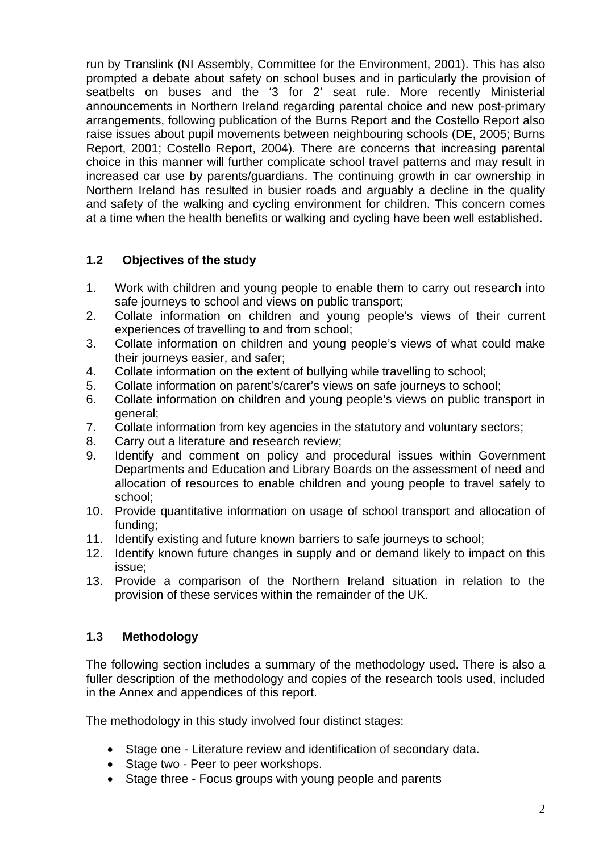run by Translink (NI Assembly, Committee for the Environment, 2001). This has also prompted a debate about safety on school buses and in particularly the provision of seatbelts on buses and the '3 for 2' seat rule. More recently Ministerial announcements in Northern Ireland regarding parental choice and new post-primary arrangements, following publication of the Burns Report and the Costello Report also raise issues about pupil movements between neighbouring schools (DE, 2005; Burns Report, 2001; Costello Report, 2004). There are concerns that increasing parental choice in this manner will further complicate school travel patterns and may result in increased car use by parents/guardians. The continuing growth in car ownership in Northern Ireland has resulted in busier roads and arguably a decline in the quality and safety of the walking and cycling environment for children. This concern comes at a time when the health benefits or walking and cycling have been well established.

# **1.2 Objectives of the study**

- 1. Work with children and young people to enable them to carry out research into safe journeys to school and views on public transport;
- 2. Collate information on children and young people's views of their current experiences of travelling to and from school;
- 3. Collate information on children and young people's views of what could make their journeys easier, and safer;
- 4. Collate information on the extent of bullying while travelling to school;
- 5. Collate information on parent's/carer's views on safe journeys to school;
- 6. Collate information on children and young people's views on public transport in general;
- 7. Collate information from key agencies in the statutory and voluntary sectors;
- 8. Carry out a literature and research review;
- 9. Identify and comment on policy and procedural issues within Government Departments and Education and Library Boards on the assessment of need and allocation of resources to enable children and young people to travel safely to school;
- 10. Provide quantitative information on usage of school transport and allocation of funding;
- 11. Identify existing and future known barriers to safe journeys to school;
- 12. Identify known future changes in supply and or demand likely to impact on this issue;
- 13. Provide a comparison of the Northern Ireland situation in relation to the provision of these services within the remainder of the UK.

# **1.3 Methodology**

The following section includes a summary of the methodology used. There is also a fuller description of the methodology and copies of the research tools used, included in the Annex and appendices of this report.

The methodology in this study involved four distinct stages:

- Stage one Literature review and identification of secondary data.
- Stage two Peer to peer workshops.
- Stage three Focus groups with young people and parents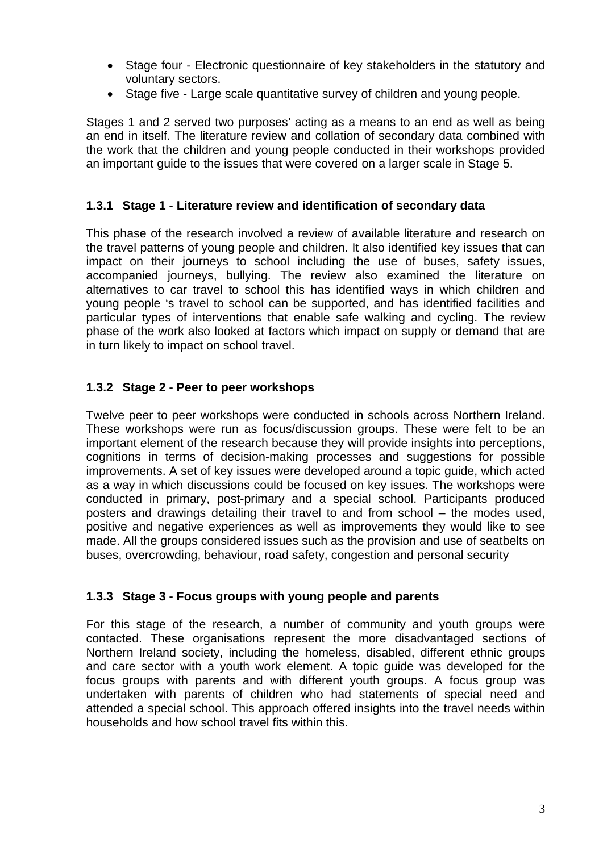- Stage four Electronic questionnaire of key stakeholders in the statutory and voluntary sectors.
- Stage five Large scale quantitative survey of children and young people.

Stages 1 and 2 served two purposes' acting as a means to an end as well as being an end in itself. The literature review and collation of secondary data combined with the work that the children and young people conducted in their workshops provided an important guide to the issues that were covered on a larger scale in Stage 5.

#### **1.3.1 Stage 1 - Literature review and identification of secondary data**

This phase of the research involved a review of available literature and research on the travel patterns of young people and children. It also identified key issues that can impact on their journeys to school including the use of buses, safety issues, accompanied journeys, bullying. The review also examined the literature on alternatives to car travel to school this has identified ways in which children and young people 's travel to school can be supported, and has identified facilities and particular types of interventions that enable safe walking and cycling. The review phase of the work also looked at factors which impact on supply or demand that are in turn likely to impact on school travel.

#### **1.3.2 Stage 2 - Peer to peer workshops**

Twelve peer to peer workshops were conducted in schools across Northern Ireland. These workshops were run as focus/discussion groups. These were felt to be an important element of the research because they will provide insights into perceptions, cognitions in terms of decision-making processes and suggestions for possible improvements. A set of key issues were developed around a topic guide, which acted as a way in which discussions could be focused on key issues. The workshops were conducted in primary, post-primary and a special school. Participants produced posters and drawings detailing their travel to and from school – the modes used, positive and negative experiences as well as improvements they would like to see made. All the groups considered issues such as the provision and use of seatbelts on buses, overcrowding, behaviour, road safety, congestion and personal security

#### **1.3.3 Stage 3 - Focus groups with young people and parents**

For this stage of the research, a number of community and youth groups were contacted. These organisations represent the more disadvantaged sections of Northern Ireland society, including the homeless, disabled, different ethnic groups and care sector with a youth work element. A topic guide was developed for the focus groups with parents and with different youth groups. A focus group was undertaken with parents of children who had statements of special need and attended a special school. This approach offered insights into the travel needs within households and how school travel fits within this.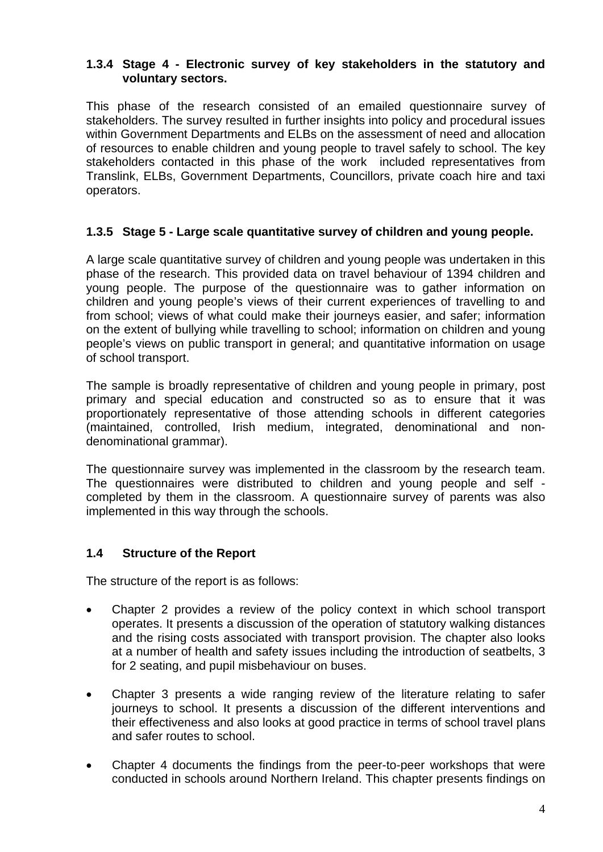#### **1.3.4 Stage 4 - Electronic survey of key stakeholders in the statutory and voluntary sectors.**

This phase of the research consisted of an emailed questionnaire survey of stakeholders. The survey resulted in further insights into policy and procedural issues within Government Departments and ELBs on the assessment of need and allocation of resources to enable children and young people to travel safely to school. The key stakeholders contacted in this phase of the work included representatives from Translink, ELBs, Government Departments, Councillors, private coach hire and taxi operators.

# **1.3.5 Stage 5 - Large scale quantitative survey of children and young people.**

A large scale quantitative survey of children and young people was undertaken in this phase of the research. This provided data on travel behaviour of 1394 children and young people. The purpose of the questionnaire was to gather information on children and young people's views of their current experiences of travelling to and from school; views of what could make their journeys easier, and safer; information on the extent of bullying while travelling to school; information on children and young people's views on public transport in general; and quantitative information on usage of school transport.

The sample is broadly representative of children and young people in primary, post primary and special education and constructed so as to ensure that it was proportionately representative of those attending schools in different categories (maintained, controlled, Irish medium, integrated, denominational and nondenominational grammar).

The questionnaire survey was implemented in the classroom by the research team. The questionnaires were distributed to children and young people and self completed by them in the classroom. A questionnaire survey of parents was also implemented in this way through the schools.

# **1.4 Structure of the Report**

The structure of the report is as follows:

- Chapter 2 provides a review of the policy context in which school transport operates. It presents a discussion of the operation of statutory walking distances and the rising costs associated with transport provision. The chapter also looks at a number of health and safety issues including the introduction of seatbelts, 3 for 2 seating, and pupil misbehaviour on buses.
- Chapter 3 presents a wide ranging review of the literature relating to safer journeys to school. It presents a discussion of the different interventions and their effectiveness and also looks at good practice in terms of school travel plans and safer routes to school.
- Chapter 4 documents the findings from the peer-to-peer workshops that were conducted in schools around Northern Ireland. This chapter presents findings on